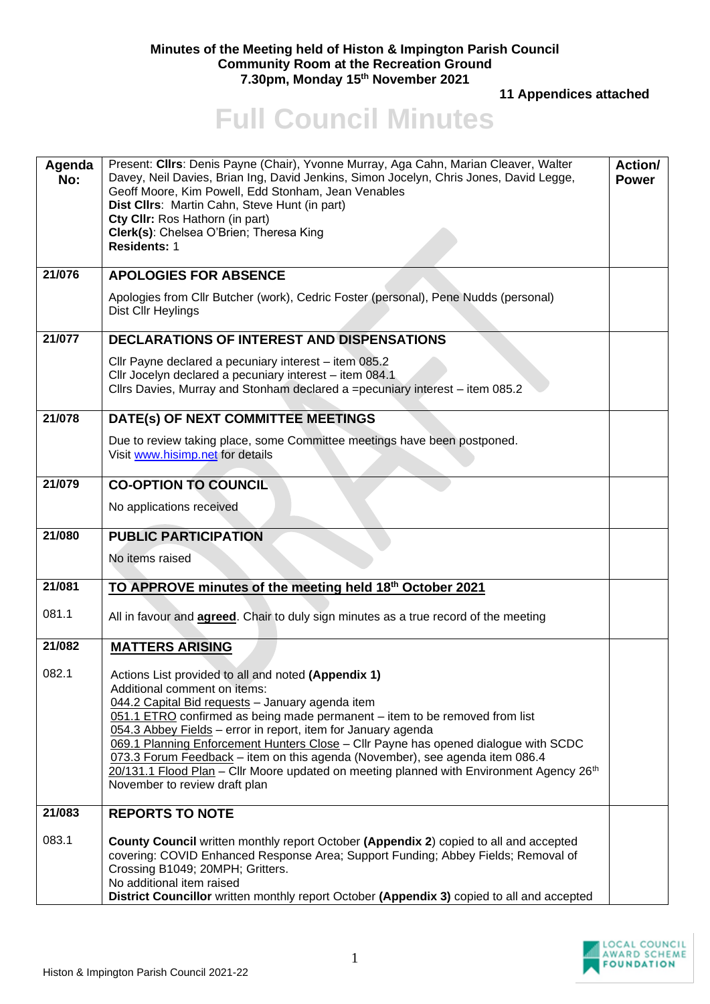## **Minutes of the Meeting held of Histon & Impington Parish Council Community Room at the Recreation Ground 7.30pm, Monday 15th November 2021**

 **11 Appendices attached** 

## **Full Council Minutes**

| Agenda<br>No: | Present: Cllrs: Denis Payne (Chair), Yvonne Murray, Aga Cahn, Marian Cleaver, Walter<br>Davey, Neil Davies, Brian Ing, David Jenkins, Simon Jocelyn, Chris Jones, David Legge,<br>Geoff Moore, Kim Powell, Edd Stonham, Jean Venables<br>Dist Cllrs: Martin Cahn, Steve Hunt (in part)<br>Cty CIIr: Ros Hathorn (in part)<br>Clerk(s): Chelsea O'Brien; Theresa King<br><b>Residents: 1</b> | Action/<br><b>Power</b> |
|---------------|---------------------------------------------------------------------------------------------------------------------------------------------------------------------------------------------------------------------------------------------------------------------------------------------------------------------------------------------------------------------------------------------|-------------------------|
| 21/076        | <b>APOLOGIES FOR ABSENCE</b>                                                                                                                                                                                                                                                                                                                                                                |                         |
|               | Apologies from Cllr Butcher (work), Cedric Foster (personal), Pene Nudds (personal)<br>Dist Cllr Heylings                                                                                                                                                                                                                                                                                   |                         |
| 21/077        | <b>DECLARATIONS OF INTEREST AND DISPENSATIONS</b>                                                                                                                                                                                                                                                                                                                                           |                         |
|               | Cllr Payne declared a pecuniary interest - item 085.2<br>Cllr Jocelyn declared a pecuniary interest - item 084.1<br>Cllrs Davies, Murray and Stonham declared a =pecuniary interest - item 085.2                                                                                                                                                                                            |                         |
| 21/078        | DATE(s) OF NEXT COMMITTEE MEETINGS                                                                                                                                                                                                                                                                                                                                                          |                         |
|               | Due to review taking place, some Committee meetings have been postponed.<br>Visit www.hisimp.net for details                                                                                                                                                                                                                                                                                |                         |
| 21/079        | <b>CO-OPTION TO COUNCIL</b>                                                                                                                                                                                                                                                                                                                                                                 |                         |
|               | No applications received                                                                                                                                                                                                                                                                                                                                                                    |                         |
| 21/080        | <b>PUBLIC PARTICIPATION</b>                                                                                                                                                                                                                                                                                                                                                                 |                         |
|               | No items raised                                                                                                                                                                                                                                                                                                                                                                             |                         |
| 21/081        | TO APPROVE minutes of the meeting held 18th October 2021                                                                                                                                                                                                                                                                                                                                    |                         |
| 081.1         | All in favour and <b>agreed</b> . Chair to duly sign minutes as a true record of the meeting                                                                                                                                                                                                                                                                                                |                         |
| 21/082        | <b>MATTERS ARISING</b>                                                                                                                                                                                                                                                                                                                                                                      |                         |
| 082.1         | Actions List provided to all and noted (Appendix 1)<br>Additional comment on items:                                                                                                                                                                                                                                                                                                         |                         |
|               | 044.2 Capital Bid requests - January agenda item<br>051.1 ETRO confirmed as being made permanent - item to be removed from list                                                                                                                                                                                                                                                             |                         |
|               | 054.3 Abbey Fields - error in report, item for January agenda<br>069.1 Planning Enforcement Hunters Close - Cllr Payne has opened dialogue with SCDC                                                                                                                                                                                                                                        |                         |
|               | 073.3 Forum Feedback - item on this agenda (November), see agenda item 086.4                                                                                                                                                                                                                                                                                                                |                         |
|               | 20/131.1 Flood Plan - Cllr Moore updated on meeting planned with Environment Agency 26th<br>November to review draft plan                                                                                                                                                                                                                                                                   |                         |
| 21/083        | <b>REPORTS TO NOTE</b>                                                                                                                                                                                                                                                                                                                                                                      |                         |
| 083.1         | <b>County Council</b> written monthly report October (Appendix 2) copied to all and accepted                                                                                                                                                                                                                                                                                                |                         |
|               | covering: COVID Enhanced Response Area; Support Funding; Abbey Fields; Removal of                                                                                                                                                                                                                                                                                                           |                         |
|               | Crossing B1049; 20MPH; Gritters.<br>No additional item raised                                                                                                                                                                                                                                                                                                                               |                         |
|               | District Councillor written monthly report October (Appendix 3) copied to all and accepted                                                                                                                                                                                                                                                                                                  |                         |

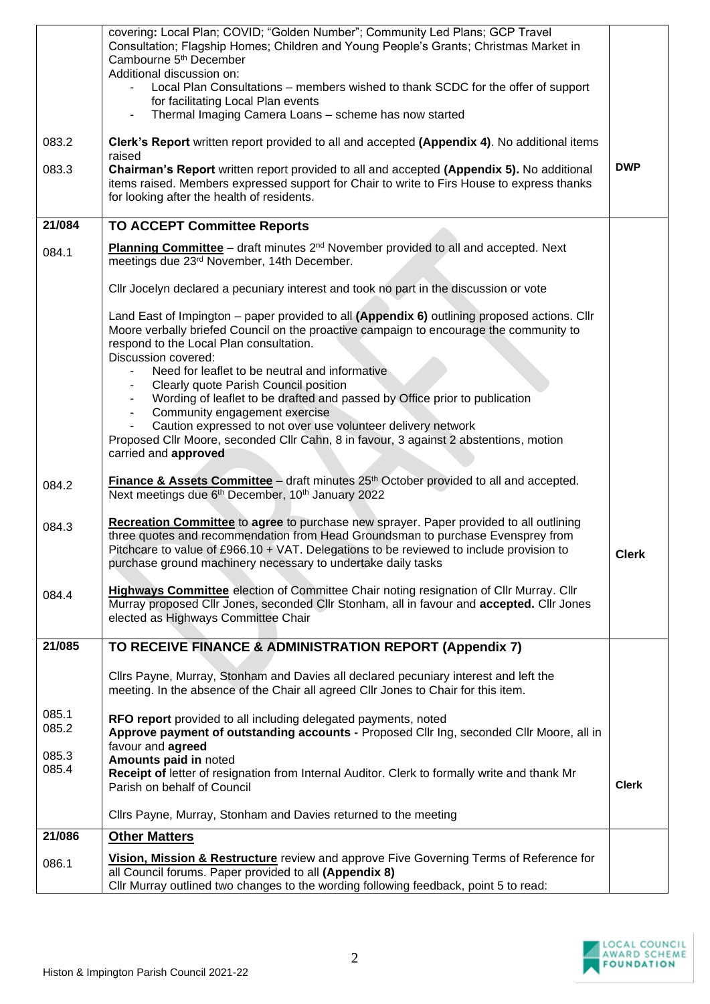|        | covering: Local Plan; COVID; "Golden Number"; Community Led Plans; GCP Travel                                                                                                                                                                                                                                                        |              |
|--------|--------------------------------------------------------------------------------------------------------------------------------------------------------------------------------------------------------------------------------------------------------------------------------------------------------------------------------------|--------------|
|        | Consultation; Flagship Homes; Children and Young People's Grants; Christmas Market in<br>Cambourne 5 <sup>th</sup> December                                                                                                                                                                                                          |              |
|        | Additional discussion on:                                                                                                                                                                                                                                                                                                            |              |
|        | Local Plan Consultations - members wished to thank SCDC for the offer of support<br>for facilitating Local Plan events                                                                                                                                                                                                               |              |
|        | Thermal Imaging Camera Loans - scheme has now started                                                                                                                                                                                                                                                                                |              |
| 083.2  | Clerk's Report written report provided to all and accepted (Appendix 4). No additional items<br>raised                                                                                                                                                                                                                               |              |
| 083.3  | Chairman's Report written report provided to all and accepted (Appendix 5). No additional<br>items raised. Members expressed support for Chair to write to Firs House to express thanks<br>for looking after the health of residents.                                                                                                | <b>DWP</b>   |
| 21/084 | <b>TO ACCEPT Committee Reports</b>                                                                                                                                                                                                                                                                                                   |              |
| 084.1  | Planning Committee - draft minutes 2 <sup>nd</sup> November provided to all and accepted. Next<br>meetings due 23 <sup>rd</sup> November, 14th December.                                                                                                                                                                             |              |
|        | Cllr Jocelyn declared a pecuniary interest and took no part in the discussion or vote                                                                                                                                                                                                                                                |              |
|        | Land East of Impington – paper provided to all (Appendix 6) outlining proposed actions. Cllr<br>Moore verbally briefed Council on the proactive campaign to encourage the community to<br>respond to the Local Plan consultation.<br>Discussion covered:                                                                             |              |
|        | Need for leaflet to be neutral and informative<br>Clearly quote Parish Council position<br>$\qquad \qquad \blacksquare$                                                                                                                                                                                                              |              |
|        | Wording of leaflet to be drafted and passed by Office prior to publication<br>$\qquad \qquad \blacksquare$                                                                                                                                                                                                                           |              |
|        | Community engagement exercise                                                                                                                                                                                                                                                                                                        |              |
|        | Caution expressed to not over use volunteer delivery network<br>Proposed Cllr Moore, seconded Cllr Cahn, 8 in favour, 3 against 2 abstentions, motion                                                                                                                                                                                |              |
|        | carried and approved                                                                                                                                                                                                                                                                                                                 |              |
| 084.2  | Finance & Assets Committee - draft minutes 25 <sup>th</sup> October provided to all and accepted.<br>Next meetings due 6 <sup>th</sup> December, 10 <sup>th</sup> January 2022                                                                                                                                                       |              |
| 084.3  | Recreation Committee to agree to purchase new sprayer. Paper provided to all outlining<br>three quotes and recommendation from Head Groundsman to purchase Evensprey from<br>Pitchcare to value of £966.10 + VAT. Delegations to be reviewed to include provision to<br>purchase ground machinery necessary to undertake daily tasks | <b>Clerk</b> |
| 084.4  | Highways Committee election of Committee Chair noting resignation of Cllr Murray. Cllr<br>Murray proposed Cllr Jones, seconded Cllr Stonham, all in favour and accepted. Cllr Jones<br>elected as Highways Committee Chair                                                                                                           |              |
| 21/085 | TO RECEIVE FINANCE & ADMINISTRATION REPORT (Appendix 7)                                                                                                                                                                                                                                                                              |              |
|        | Cllrs Payne, Murray, Stonham and Davies all declared pecuniary interest and left the<br>meeting. In the absence of the Chair all agreed Cllr Jones to Chair for this item.                                                                                                                                                           |              |
| 085.1  | RFO report provided to all including delegated payments, noted                                                                                                                                                                                                                                                                       |              |
| 085.2  | Approve payment of outstanding accounts - Proposed Cllr Ing, seconded Cllr Moore, all in<br>favour and agreed                                                                                                                                                                                                                        |              |
| 085.3  | Amounts paid in noted                                                                                                                                                                                                                                                                                                                |              |
| 085.4  | Receipt of letter of resignation from Internal Auditor. Clerk to formally write and thank Mr<br>Parish on behalf of Council                                                                                                                                                                                                          | <b>Clerk</b> |
|        | Cllrs Payne, Murray, Stonham and Davies returned to the meeting                                                                                                                                                                                                                                                                      |              |
| 21/086 | <b>Other Matters</b>                                                                                                                                                                                                                                                                                                                 |              |
| 086.1  | Vision, Mission & Restructure review and approve Five Governing Terms of Reference for<br>all Council forums. Paper provided to all (Appendix 8)<br>Cllr Murray outlined two changes to the wording following feedback, point 5 to read:                                                                                             |              |
|        |                                                                                                                                                                                                                                                                                                                                      |              |

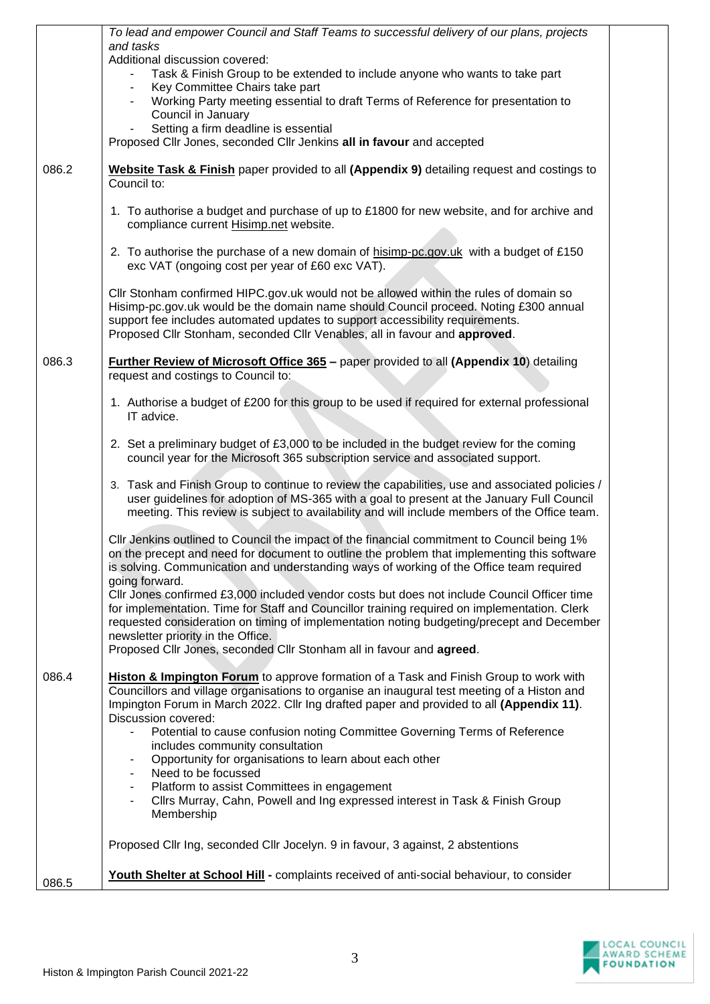|       | To lead and empower Council and Staff Teams to successful delivery of our plans, projects<br>and tasks<br>Additional discussion covered:<br>Task & Finish Group to be extended to include anyone who wants to take part<br>Key Committee Chairs take part                                                                                                                                              |  |
|-------|--------------------------------------------------------------------------------------------------------------------------------------------------------------------------------------------------------------------------------------------------------------------------------------------------------------------------------------------------------------------------------------------------------|--|
|       | Working Party meeting essential to draft Terms of Reference for presentation to<br>Council in January<br>Setting a firm deadline is essential<br>Proposed Cllr Jones, seconded Cllr Jenkins all in favour and accepted                                                                                                                                                                                 |  |
| 086.2 | Website Task & Finish paper provided to all (Appendix 9) detailing request and costings to<br>Council to:                                                                                                                                                                                                                                                                                              |  |
|       | 1. To authorise a budget and purchase of up to £1800 for new website, and for archive and<br>compliance current Hisimp.net website.                                                                                                                                                                                                                                                                    |  |
|       | 2. To authorise the purchase of a new domain of hisimp-pc.gov.uk with a budget of £150<br>exc VAT (ongoing cost per year of £60 exc VAT).                                                                                                                                                                                                                                                              |  |
|       | Cllr Stonham confirmed HIPC.gov.uk would not be allowed within the rules of domain so<br>Hisimp-pc.gov.uk would be the domain name should Council proceed. Noting £300 annual<br>support fee includes automated updates to support accessibility requirements.<br>Proposed Cllr Stonham, seconded Cllr Venables, all in favour and approved.                                                           |  |
| 086.3 | Further Review of Microsoft Office 365 - paper provided to all (Appendix 10) detailing<br>request and costings to Council to:                                                                                                                                                                                                                                                                          |  |
|       | 1. Authorise a budget of £200 for this group to be used if required for external professional<br>IT advice.                                                                                                                                                                                                                                                                                            |  |
|       | 2. Set a preliminary budget of £3,000 to be included in the budget review for the coming<br>council year for the Microsoft 365 subscription service and associated support.                                                                                                                                                                                                                            |  |
|       | 3. Task and Finish Group to continue to review the capabilities, use and associated policies /<br>user guidelines for adoption of MS-365 with a goal to present at the January Full Council<br>meeting. This review is subject to availability and will include members of the Office team.                                                                                                            |  |
|       | CIIr Jenkins outlined to Council the impact of the financial commitment to Council being 1%<br>on the precept and need for document to outline the problem that implementing this software<br>is solving. Communication and understanding ways of working of the Office team required<br>going forward.                                                                                                |  |
|       | CIIr Jones confirmed £3,000 included vendor costs but does not include Council Officer time<br>for implementation. Time for Staff and Councillor training required on implementation. Clerk<br>requested consideration on timing of implementation noting budgeting/precept and December<br>newsletter priority in the Office.<br>Proposed Cllr Jones, seconded Cllr Stonham all in favour and agreed. |  |
| 086.4 | Histon & Impington Forum to approve formation of a Task and Finish Group to work with<br>Councillors and village organisations to organise an inaugural test meeting of a Histon and<br>Impington Forum in March 2022. Cllr Ing drafted paper and provided to all (Appendix 11).<br>Discussion covered:                                                                                                |  |
|       | Potential to cause confusion noting Committee Governing Terms of Reference<br>includes community consultation<br>Opportunity for organisations to learn about each other                                                                                                                                                                                                                               |  |
|       | Need to be focussed<br>Platform to assist Committees in engagement<br>Cllrs Murray, Cahn, Powell and Ing expressed interest in Task & Finish Group<br>Membership                                                                                                                                                                                                                                       |  |
|       | Proposed Cllr Ing, seconded Cllr Jocelyn. 9 in favour, 3 against, 2 abstentions                                                                                                                                                                                                                                                                                                                        |  |
| 086.5 | Youth Shelter at School Hill - complaints received of anti-social behaviour, to consider                                                                                                                                                                                                                                                                                                               |  |